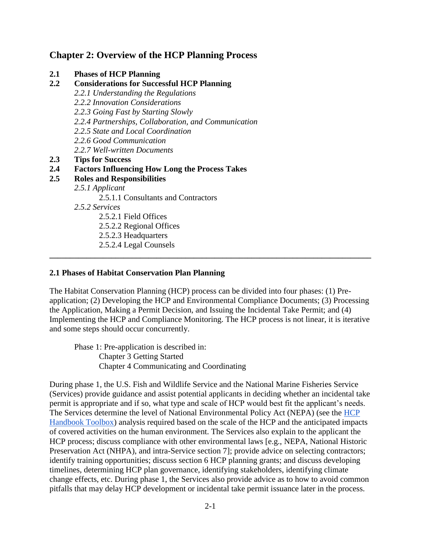## **Chapter 2: Overview of the HCP Planning Process**

| $2.1\,$ |  |  | <b>Phases of HCP Planning</b> |
|---------|--|--|-------------------------------|
|---------|--|--|-------------------------------|

- **2.2 Considerations for Successful HCP Planning**
	- *2.2.1 Understanding the Regulations*
	- *2.2.2 Innovation Considerations*
	- *2.2.3 Going Fast by Starting Slowly*
	- *2.2.4 Partnerships, Collaboration, and Communication*
	- *2.2.5 State and Local Coordination*
	- *2.2.6 Good Communication*
	- *2.2.7 Well-written Documents*
- **2.3 Tips for Success**

### **2.4 Factors Influencing How Long the Process Takes**

- **2.5 Roles and Responsibilities**
	- *2.5.1 Applicant*
		- 2.5.1.1 Consultants and Contractors
		- *2.5.2 Services*
			- 2.5.2.1 Field Offices
			- 2.5.2.2 Regional Offices
			- 2.5.2.3 Headquarters
			- 2.5.2.4 Legal Counsels

#### **2.1 Phases of Habitat Conservation Plan Planning**

The Habitat Conservation Planning (HCP) process can be divided into four phases: (1) Preapplication; (2) Developing the HCP and Environmental Compliance Documents; (3) Processing the Application, Making a Permit Decision, and Issuing the Incidental Take Permit; and (4) Implementing the HCP and Compliance Monitoring. The HCP process is not linear, it is iterative and some steps should occur concurrently.

**\_\_\_\_\_\_\_\_\_\_\_\_\_\_\_\_\_\_\_\_\_\_\_\_\_\_\_\_\_\_\_\_\_\_\_\_\_\_\_\_\_\_\_\_\_\_\_\_\_\_\_\_\_\_\_\_\_\_\_\_\_\_\_\_\_\_\_\_\_\_\_\_\_\_\_\_\_\_**

Phase 1: Pre-application is described in: Chapter 3 Getting Started Chapter 4 Communicating and Coordinating

During phase 1, the U.S. Fish and Wildlife Service and the National Marine Fisheries Service (Services) provide guidance and assist potential applicants in deciding whether an incidental take permit is appropriate and if so, what type and scale of HCP would best fit the applicant's needs. The Services determine the level of National Environmental Policy Act (NEPA) (see the [HCP](https://www.fws.gov/endangered/what-we-do/hcp-handbook-toolbox.html#Ch2)  [Handbook Toolbox\)](https://www.fws.gov/endangered/what-we-do/hcp-handbook-toolbox.html#Ch2) analysis required based on the scale of the HCP and the anticipated impacts of covered activities on the human environment. The Services also explain to the applicant the HCP process; discuss compliance with other environmental laws [e.g., NEPA, National Historic Preservation Act (NHPA), and intra-Service section 7]; provide advice on selecting contractors; identify training opportunities; discuss section 6 HCP planning grants; and discuss developing timelines, determining HCP plan governance, identifying stakeholders, identifying climate change effects, etc. During phase 1, the Services also provide advice as to how to avoid common pitfalls that may delay HCP development or incidental take permit issuance later in the process.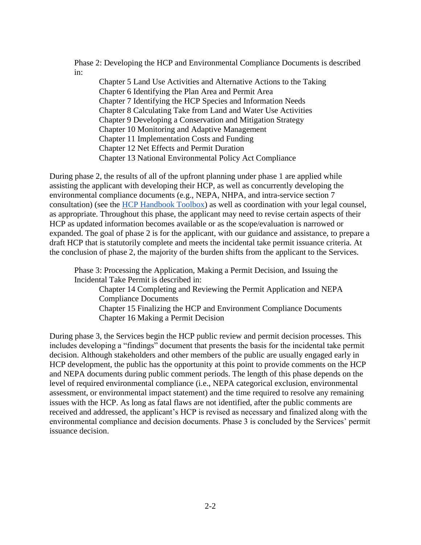Phase 2: Developing the HCP and Environmental Compliance Documents is described in:

Chapter 5 Land Use Activities and Alternative Actions to the Taking Chapter 6 Identifying the Plan Area and Permit Area Chapter 7 Identifying the HCP Species and Information Needs Chapter 8 Calculating Take from Land and Water Use Activities Chapter 9 Developing a Conservation and Mitigation Strategy Chapter 10 Monitoring and Adaptive Management Chapter 11 Implementation Costs and Funding Chapter 12 Net Effects and Permit Duration Chapter 13 National Environmental Policy Act Compliance

During phase 2, the results of all of the upfront planning under phase 1 are applied while assisting the applicant with developing their HCP, as well as concurrently developing the environmental compliance documents (e.g., NEPA, NHPA, and intra-service section 7 consultation) (see the [HCP Handbook Toolbox\)](https://www.fws.gov/endangered/what-we-do/hcp-handbook-toolbox.html#Ch2) as well as coordination with your legal counsel, as appropriate. Throughout this phase, the applicant may need to revise certain aspects of their HCP as updated information becomes available or as the scope/evaluation is narrowed or expanded. The goal of phase 2 is for the applicant, with our guidance and assistance, to prepare a draft HCP that is statutorily complete and meets the incidental take permit issuance criteria. At the conclusion of phase 2, the majority of the burden shifts from the applicant to the Services.

Phase 3: Processing the Application, Making a Permit Decision, and Issuing the Incidental Take Permit is described in:

Chapter 14 Completing and Reviewing the Permit Application and NEPA Compliance Documents Chapter 15 Finalizing the HCP and Environment Compliance Documents Chapter 16 Making a Permit Decision

During phase 3, the Services begin the HCP public review and permit decision processes. This includes developing a "findings" document that presents the basis for the incidental take permit decision. Although stakeholders and other members of the public are usually engaged early in HCP development, the public has the opportunity at this point to provide comments on the HCP and NEPA documents during public comment periods. The length of this phase depends on the level of required environmental compliance (i.e., NEPA categorical exclusion, environmental assessment, or environmental impact statement) and the time required to resolve any remaining issues with the HCP. As long as fatal flaws are not identified, after the public comments are received and addressed, the applicant's HCP is revised as necessary and finalized along with the environmental compliance and decision documents. Phase 3 is concluded by the Services' permit issuance decision.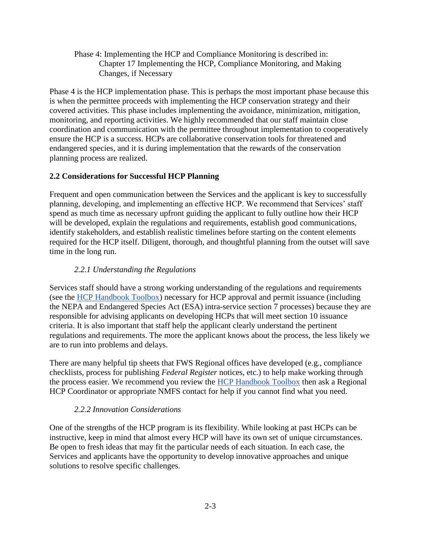Phase 4: Implementing the HCP and Compliance Monitoring is described in: Chapter 17 Implementing the HCP, Compliance Monitoring, and Making Changes, if Necessary

Phase 4 is the HCP implementation phase. This is perhaps the most important phase because this is when the permittee proceeds with implementing the HCP conservation strategy and their covered activities. This phase includes implementing the avoidance, minimization, mitigation, monitoring, and reporting activities. We highly recommended that our staff maintain close coordination and communication with the permittee throughout implementation to cooperatively ensure the HCP is a success. HCPs are collaborative conservation tools for threatened and endangered species, and it is during implementation that the rewards of the conservation planning process are realized.

### **2.2 Considerations for Successful HCP Planning**

Frequent and open communication between the Services and the applicant is key to successfully planning, developing, and implementing an effective HCP. We recommend that Services' staff spend as much time as necessary upfront guiding the applicant to fully outline how their HCP will be developed, explain the regulations and requirements, establish good communications, identify stakeholders, and establish realistic timelines before starting on the content elements required for the HCP itself. Diligent, thorough, and thoughtful planning from the outset will save time in the long run.

## *2.2.1 Understanding the Regulations*

Services staff should have a strong working understanding of the regulations and requirements (see the [HCP Handbook Toolbox\)](https://www.fws.gov/endangered/what-we-do/hcp-handbook-toolbox.html#Ch2) necessary for HCP approval and permit issuance (including the NEPA and Endangered Species Act (ESA) intra-service section 7 processes) because they are responsible for advising applicants on developing HCPs that will meet section 10 issuance criteria. It is also important that staff help the applicant clearly understand the pertinent regulations and requirements. The more the applicant knows about the process, the less likely we are to run into problems and delays.

There are many helpful tip sheets that FWS Regional offices have developed (e.g., compliance checklists, process for publishing *Federal Register* notices, etc.) to help make working through the process easier. We recommend you review the [HCP Handbook Toolbox](https://www.fws.gov/endangered/what-we-do/hcp-handbook-toolbox.html#Ch2) then ask a Regional HCP Coordinator or appropriate NMFS contact for help if you cannot find what you need.

### *2.2.2 Innovation Considerations*

One of the strengths of the HCP program is its flexibility. While looking at past HCPs can be instructive, keep in mind that almost every HCP will have its own set of unique circumstances. Be open to fresh ideas that may fit the particular needs of each situation. In each case, the Services and applicants have the opportunity to develop innovative approaches and unique solutions to resolve specific challenges.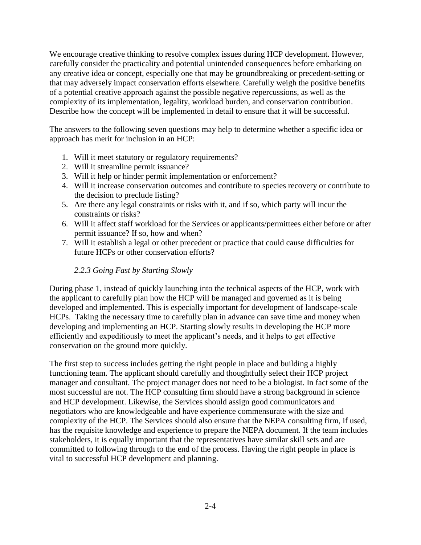We encourage creative thinking to resolve complex issues during HCP development. However, carefully consider the practicality and potential unintended consequences before embarking on any creative idea or concept, especially one that may be groundbreaking or precedent-setting or that may adversely impact conservation efforts elsewhere. Carefully weigh the positive benefits of a potential creative approach against the possible negative repercussions, as well as the complexity of its implementation, legality, workload burden, and conservation contribution. Describe how the concept will be implemented in detail to ensure that it will be successful.

The answers to the following seven questions may help to determine whether a specific idea or approach has merit for inclusion in an HCP:

- 1. Will it meet statutory or regulatory requirements?
- 2. Will it streamline permit issuance?
- 3. Will it help or hinder permit implementation or enforcement?
- 4. Will it increase conservation outcomes and contribute to species recovery or contribute to the decision to preclude listing?
- 5. Are there any legal constraints or risks with it, and if so, which party will incur the constraints or risks?
- 6. Will it affect staff workload for the Services or applicants/permittees either before or after permit issuance? If so, how and when?
- 7. Will it establish a legal or other precedent or practice that could cause difficulties for future HCPs or other conservation efforts?

### *2.2.3 Going Fast by Starting Slowly*

During phase 1, instead of quickly launching into the technical aspects of the HCP, work with the applicant to carefully plan how the HCP will be managed and governed as it is being developed and implemented. This is especially important for development of landscape-scale HCPs. Taking the necessary time to carefully plan in advance can save time and money when developing and implementing an HCP. Starting slowly results in developing the HCP more efficiently and expeditiously to meet the applicant's needs, and it helps to get effective conservation on the ground more quickly.

The first step to success includes getting the right people in place and building a highly functioning team. The applicant should carefully and thoughtfully select their HCP project manager and consultant. The project manager does not need to be a biologist. In fact some of the most successful are not. The HCP consulting firm should have a strong background in science and HCP development. Likewise, the Services should assign good communicators and negotiators who are knowledgeable and have experience commensurate with the size and complexity of the HCP. The Services should also ensure that the NEPA consulting firm, if used, has the requisite knowledge and experience to prepare the NEPA document. If the team includes stakeholders, it is equally important that the representatives have similar skill sets and are committed to following through to the end of the process. Having the right people in place is vital to successful HCP development and planning.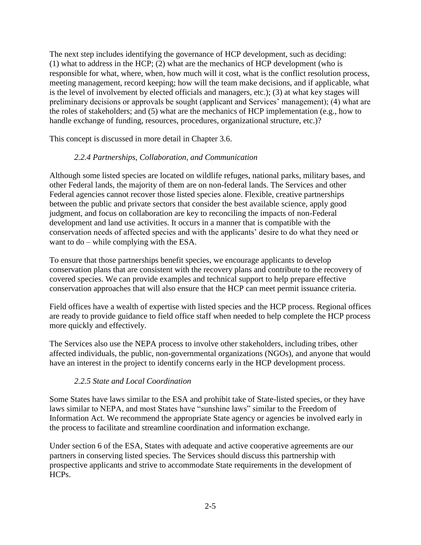The next step includes identifying the governance of HCP development, such as deciding: (1) what to address in the HCP; (2) what are the mechanics of HCP development (who is responsible for what, where, when, how much will it cost, what is the conflict resolution process, meeting management, record keeping; how will the team make decisions, and if applicable, what is the level of involvement by elected officials and managers, etc.); (3) at what key stages will preliminary decisions or approvals be sought (applicant and Services' management); (4) what are the roles of stakeholders; and (5) what are the mechanics of HCP implementation (e.g., how to handle exchange of funding, resources, procedures, organizational structure, etc.)?

This concept is discussed in more detail in Chapter 3.6.

## *2.2.4 Partnerships, Collaboration, and Communication*

Although some listed species are located on wildlife refuges, national parks, military bases, and other Federal lands, the majority of them are on non-federal lands. The Services and other Federal agencies cannot recover those listed species alone. Flexible, creative partnerships between the public and private sectors that consider the best available science, apply good judgment, and focus on collaboration are key to reconciling the impacts of non-Federal development and land use activities. It occurs in a manner that is compatible with the conservation needs of affected species and with the applicants' desire to do what they need or want to do – while complying with the ESA.

To ensure that those partnerships benefit species, we encourage applicants to develop conservation plans that are consistent with the recovery plans and contribute to the recovery of covered species. We can provide examples and technical support to help prepare effective conservation approaches that will also ensure that the HCP can meet permit issuance criteria.

Field offices have a wealth of expertise with listed species and the HCP process. Regional offices are ready to provide guidance to field office staff when needed to help complete the HCP process more quickly and effectively.

The Services also use the NEPA process to involve other stakeholders, including tribes, other affected individuals, the public, non-governmental organizations (NGOs), and anyone that would have an interest in the project to identify concerns early in the HCP development process.

### *2.2.5 State and Local Coordination*

Some States have laws similar to the ESA and prohibit take of State-listed species, or they have laws similar to NEPA, and most States have "sunshine laws" similar to the Freedom of Information Act. We recommend the appropriate State agency or agencies be involved early in the process to facilitate and streamline coordination and information exchange.

Under section 6 of the ESA, States with adequate and active cooperative agreements are our partners in conserving listed species. The Services should discuss this partnership with prospective applicants and strive to accommodate State requirements in the development of HCPs.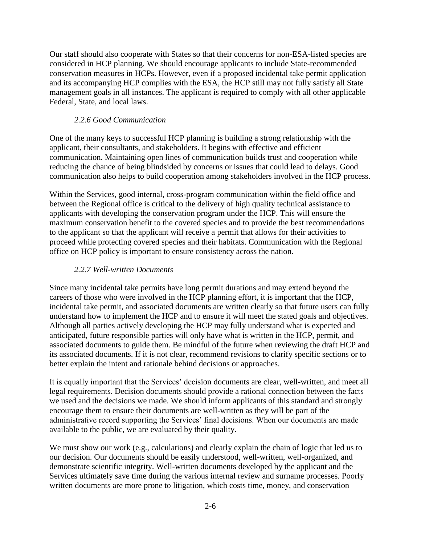Our staff should also cooperate with States so that their concerns for non-ESA-listed species are considered in HCP planning. We should encourage applicants to include State-recommended conservation measures in HCPs. However, even if a proposed incidental take permit application and its accompanying HCP complies with the ESA, the HCP still may not fully satisfy all State management goals in all instances. The applicant is required to comply with all other applicable Federal, State, and local laws.

### *2.2.6 Good Communication*

One of the many keys to successful HCP planning is building a strong relationship with the applicant, their consultants, and stakeholders. It begins with effective and efficient communication. Maintaining open lines of communication builds trust and cooperation while reducing the chance of being blindsided by concerns or issues that could lead to delays. Good communication also helps to build cooperation among stakeholders involved in the HCP process.

Within the Services, good internal, cross-program communication within the field office and between the Regional office is critical to the delivery of high quality technical assistance to applicants with developing the conservation program under the HCP. This will ensure the maximum conservation benefit to the covered species and to provide the best recommendations to the applicant so that the applicant will receive a permit that allows for their activities to proceed while protecting covered species and their habitats. Communication with the Regional office on HCP policy is important to ensure consistency across the nation.

## *2.2.7 Well-written Documents*

Since many incidental take permits have long permit durations and may extend beyond the careers of those who were involved in the HCP planning effort, it is important that the HCP, incidental take permit, and associated documents are written clearly so that future users can fully understand how to implement the HCP and to ensure it will meet the stated goals and objectives. Although all parties actively developing the HCP may fully understand what is expected and anticipated, future responsible parties will only have what is written in the HCP, permit, and associated documents to guide them. Be mindful of the future when reviewing the draft HCP and its associated documents. If it is not clear, recommend revisions to clarify specific sections or to better explain the intent and rationale behind decisions or approaches.

It is equally important that the Services' decision documents are clear, well-written, and meet all legal requirements. Decision documents should provide a rational connection between the facts we used and the decisions we made. We should inform applicants of this standard and strongly encourage them to ensure their documents are well-written as they will be part of the administrative record supporting the Services' final decisions. When our documents are made available to the public, we are evaluated by their quality.

We must show our work (e.g., calculations) and clearly explain the chain of logic that led us to our decision. Our documents should be easily understood, well-written, well-organized, and demonstrate scientific integrity. Well-written documents developed by the applicant and the Services ultimately save time during the various internal review and surname processes. Poorly written documents are more prone to litigation, which costs time, money, and conservation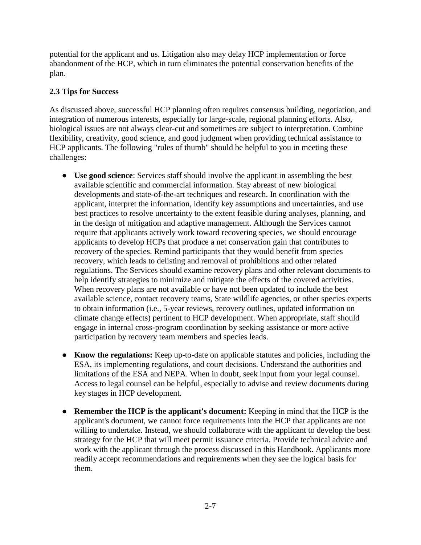potential for the applicant and us. Litigation also may delay HCP implementation or force abandonment of the HCP, which in turn eliminates the potential conservation benefits of the plan.

## **2.3 Tips for Success**

As discussed above, successful HCP planning often requires consensus building, negotiation, and integration of numerous interests, especially for large-scale, regional planning efforts. Also, biological issues are not always clear-cut and sometimes are subject to interpretation. Combine flexibility, creativity, good science, and good judgment when providing technical assistance to HCP applicants. The following "rules of thumb" should be helpful to you in meeting these challenges:

- **Use good science**: Services staff should involve the applicant in assembling the best available scientific and commercial information. Stay abreast of new biological developments and state-of-the-art techniques and research. In coordination with the applicant, interpret the information, identify key assumptions and uncertainties, and use best practices to resolve uncertainty to the extent feasible during analyses, planning, and in the design of mitigation and adaptive management. Although the Services cannot require that applicants actively work toward recovering species, we should encourage applicants to develop HCPs that produce a net conservation gain that contributes to recovery of the species. Remind participants that they would benefit from species recovery, which leads to delisting and removal of prohibitions and other related regulations. The Services should examine recovery plans and other relevant documents to help identify strategies to minimize and mitigate the effects of the covered activities. When recovery plans are not available or have not been updated to include the best available science, contact recovery teams, State wildlife agencies, or other species experts to obtain information (i.e., 5-year reviews, recovery outlines, updated information on climate change effects) pertinent to HCP development. When appropriate, staff should engage in internal cross-program coordination by seeking assistance or more active participation by recovery team members and species leads.
- **Know the regulations:** Keep up-to-date on applicable statutes and policies, including the ESA, its implementing regulations, and court decisions. Understand the authorities and limitations of the ESA and NEPA. When in doubt, seek input from your legal counsel. Access to legal counsel can be helpful, especially to advise and review documents during key stages in HCP development.
- **Remember the HCP is the applicant's document:** Keeping in mind that the HCP is the applicant's document, we cannot force requirements into the HCP that applicants are not willing to undertake. Instead, we should collaborate with the applicant to develop the best strategy for the HCP that will meet permit issuance criteria. Provide technical advice and work with the applicant through the process discussed in this Handbook. Applicants more readily accept recommendations and requirements when they see the logical basis for them.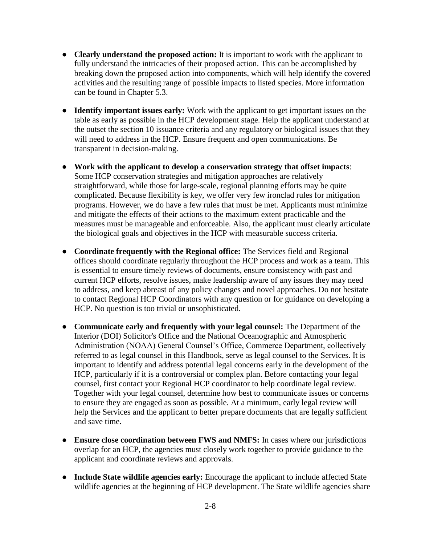- **Clearly understand the proposed action:** It is important to work with the applicant to fully understand the intricacies of their proposed action. This can be accomplished by breaking down the proposed action into components, which will help identify the covered activities and the resulting range of possible impacts to listed species. More information can be found in Chapter 5.3.
- **Identify important issues early:** Work with the applicant to get important issues on the table as early as possible in the HCP development stage. Help the applicant understand at the outset the section 10 issuance criteria and any regulatory or biological issues that they will need to address in the HCP. Ensure frequent and open communications. Be transparent in decision-making.
- **Work with the applicant to develop a conservation strategy that offset impacts**: Some HCP conservation strategies and mitigation approaches are relatively straightforward, while those for large-scale, regional planning efforts may be quite complicated. Because flexibility is key, we offer very few ironclad rules for mitigation programs. However, we do have a few rules that must be met. Applicants must minimize and mitigate the effects of their actions to the maximum extent practicable and the measures must be manageable and enforceable. Also, the applicant must clearly articulate the biological goals and objectives in the HCP with measurable success criteria.
- **Coordinate frequently with the Regional office:** The Services field and Regional offices should coordinate regularly throughout the HCP process and work as a team. This is essential to ensure timely reviews of documents, ensure consistency with past and current HCP efforts, resolve issues, make leadership aware of any issues they may need to address, and keep abreast of any policy changes and novel approaches. Do not hesitate to contact Regional HCP Coordinators with any question or for guidance on developing a HCP. No question is too trivial or unsophisticated.
- **Communicate early and frequently with your legal counsel:** The Department of the Interior (DOI) Solicitor's Office and the National Oceanographic and Atmospheric Administration (NOAA) General Counsel's Office, Commerce Department, collectively referred to as legal counsel in this Handbook, serve as legal counsel to the Services. It is important to identify and address potential legal concerns early in the development of the HCP, particularly if it is a controversial or complex plan. Before contacting your legal counsel, first contact your Regional HCP coordinator to help coordinate legal review. Together with your legal counsel, determine how best to communicate issues or concerns to ensure they are engaged as soon as possible. At a minimum, early legal review will help the Services and the applicant to better prepare documents that are legally sufficient and save time.
- **Ensure close coordination between FWS and NMFS:** In cases where our jurisdictions overlap for an HCP, the agencies must closely work together to provide guidance to the applicant and coordinate reviews and approvals.
- **Include State wildlife agencies early:** Encourage the applicant to include affected State wildlife agencies at the beginning of HCP development. The State wildlife agencies share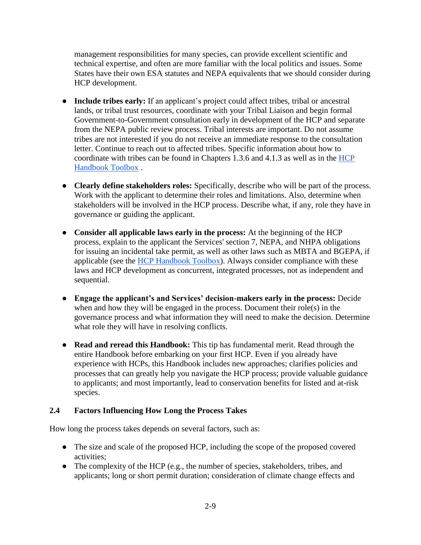management responsibilities for many species, can provide excellent scientific and technical expertise, and often are more familiar with the local politics and issues. Some States have their own ESA statutes and NEPA equivalents that we should consider during HCP development.

- **Include tribes early:** If an applicant's project could affect tribes, tribal or ancestral lands, or tribal trust resources, coordinate with your Tribal Liaison and begin formal Government-to-Government consultation early in development of the HCP and separate from the NEPA public review process. Tribal interests are important. Do not assume tribes are not interested if you do not receive an immediate response to the consultation letter. Continue to reach out to affected tribes. Specific information about how to coordinate with tribes can be found in Chapters 1.3.6 and 4.1.3 as well as in the [HCP](https://www.fws.gov/endangered/what-we-do/hcp-handbook-toolbox.html#Ch2)  [Handbook Toolbox](https://www.fws.gov/endangered/what-we-do/hcp-handbook-toolbox.html#Ch2) .
- **Clearly define stakeholders roles:** Specifically, describe who will be part of the process. Work with the applicant to determine their roles and limitations. Also, determine when stakeholders will be involved in the HCP process. Describe what, if any, role they have in governance or guiding the applicant.
- **Consider all applicable laws early in the process:** At the beginning of the HCP process, explain to the applicant the Services' section 7, NEPA, and NHPA obligations for issuing an incidental take permit, as well as other laws such as MBTA and BGEPA, if applicable (see the [HCP Handbook Toolbox\)](https://www.fws.gov/endangered/what-we-do/hcp-handbook-toolbox.html#Ch2). Always consider compliance with these laws and HCP development as concurrent, integrated processes, not as independent and sequential.
- **Engage the applicant's and Services' decision-makers early in the process:** Decide when and how they will be engaged in the process. Document their role(s) in the governance process and what information they will need to make the decision. Determine what role they will have in resolving conflicts.
- **Read and reread this Handbook:** This tip has fundamental merit. Read through the entire Handbook before embarking on your first HCP. Even if you already have experience with HCPs, this Handbook includes new approaches; clarifies policies and processes that can greatly help you navigate the HCP process; provide valuable guidance to applicants; and most importantly, lead to conservation benefits for listed and at-risk species.

### **2.4 Factors Influencing How Long the Process Takes**

How long the process takes depends on several factors, such as:

- The size and scale of the proposed HCP, including the scope of the proposed covered activities;
- The complexity of the HCP (e.g., the number of species, stakeholders, tribes, and applicants; long or short permit duration; consideration of climate change effects and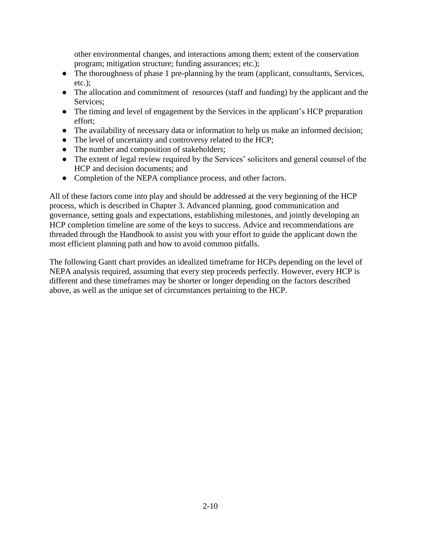other environmental changes, and interactions among them; extent of the conservation program; mitigation structure; funding assurances; etc.);

- The thoroughness of phase 1 pre-planning by the team (applicant, consultants, Services, etc.);
- The allocation and commitment of resources (staff and funding) by the applicant and the Services;
- The timing and level of engagement by the Services in the applicant's HCP preparation effort;
- The availability of necessary data or information to help us make an informed decision;
- The level of uncertainty and controversy related to the HCP;
- The number and composition of stakeholders;
- The extent of legal review required by the Services' solicitors and general counsel of the HCP and decision documents; and
- Completion of the NEPA compliance process, and other factors.

All of these factors come into play and should be addressed at the very beginning of the HCP process, which is described in Chapter 3. Advanced planning, good communication and governance, setting goals and expectations, establishing milestones, and jointly developing an HCP completion timeline are some of the keys to success. Advice and recommendations are threaded through the Handbook to assist you with your effort to guide the applicant down the most efficient planning path and how to avoid common pitfalls.

The following Gantt chart provides an idealized timeframe for HCPs depending on the level of NEPA analysis required, assuming that every step proceeds perfectly. However, every HCP is different and these timeframes may be shorter or longer depending on the factors described above, as well as the unique set of circumstances pertaining to the HCP.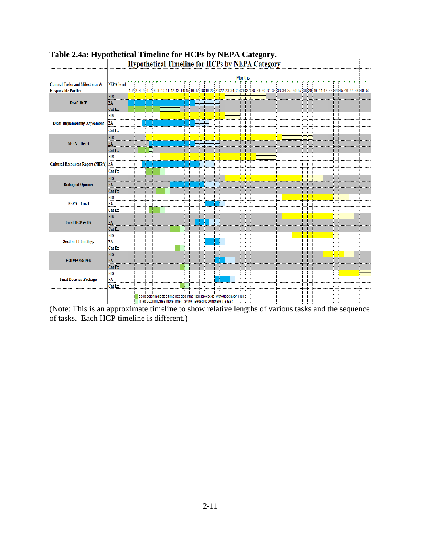

### **Table 2.4a: Hypothetical Timeline for HCPs by NEPA Category.** Hypothetical Timeline for HCPs by NEPA Category

of tasks. Each HCP timeline is different.)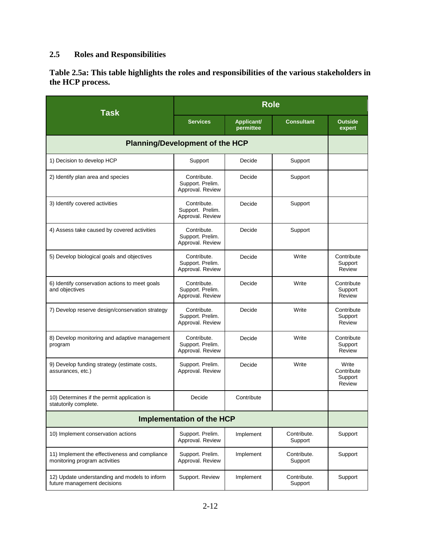# **2.5 Roles and Responsibilities**

**Table 2.5a: This table highlights the roles and responsibilities of the various stakeholders in the HCP process.** 

| <b>Task</b>                                                                     | <b>Role</b>                                         |                         |                        |                                          |  |
|---------------------------------------------------------------------------------|-----------------------------------------------------|-------------------------|------------------------|------------------------------------------|--|
|                                                                                 | <b>Services</b>                                     | Applicant/<br>permittee | <b>Consultant</b>      | <b>Outside</b><br>expert                 |  |
| <b>Planning/Development of the HCP</b>                                          |                                                     |                         |                        |                                          |  |
| 1) Decision to develop HCP                                                      | Support                                             | Decide                  | Support                |                                          |  |
| 2) Identify plan area and species                                               | Contribute.<br>Support. Prelim.<br>Approval. Review | Decide                  | Support                |                                          |  |
| 3) Identify covered activities                                                  | Contribute.<br>Support. Prelim.<br>Approval. Review | Decide                  | Support                |                                          |  |
| 4) Assess take caused by covered activities                                     | Contribute.<br>Support. Prelim.<br>Approval. Review | Decide                  | Support                |                                          |  |
| 5) Develop biological goals and objectives                                      | Contribute.<br>Support. Prelim.<br>Approval. Review | Decide                  | Write                  | Contribute<br>Support<br>Review          |  |
| 6) Identify conservation actions to meet goals<br>and objectives                | Contribute.<br>Support. Prelim.<br>Approval. Review | Decide                  | Write                  | Contribute<br>Support<br>Review          |  |
| 7) Develop reserve design/conservation strategy                                 | Contribute.<br>Support. Prelim.<br>Approval. Review | Decide                  | Write                  | Contribute<br>Support<br>Review          |  |
| 8) Develop monitoring and adaptive management<br>program                        | Contribute.<br>Support. Prelim.<br>Approval. Review | Decide                  | Write                  | Contribute<br>Support<br>Review          |  |
| 9) Develop funding strategy (estimate costs,<br>assurances, etc.)               | Support. Prelim.<br>Approval. Review                | Decide                  | Write                  | Write<br>Contribute<br>Support<br>Review |  |
| 10) Determines if the permit application is<br>statutorily complete.            | Decide                                              | Contribute              |                        |                                          |  |
| <b>Implementation of the HCP</b>                                                |                                                     |                         |                        |                                          |  |
| 10) Implement conservation actions                                              | Support. Prelim.<br>Approval. Review                | Implement               | Contribute.<br>Support | Support                                  |  |
| 11) Implement the effectiveness and compliance<br>monitoring program activities | Support. Prelim.<br>Approval. Review                | Implement               | Contribute.<br>Support | Support                                  |  |
| 12) Update understanding and models to inform<br>future management decisions    | Support. Review                                     | Implement               | Contribute.<br>Support | Support                                  |  |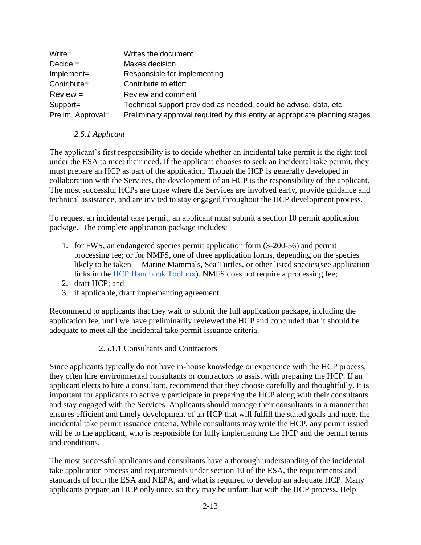| $Write =$         | Writes the document                                                         |
|-------------------|-----------------------------------------------------------------------------|
| $Decide =$        | Makes decision                                                              |
| Implement=        | Responsible for implementing                                                |
| Contribute=       | Contribute to effort                                                        |
| $Review =$        | Review and comment                                                          |
| Support=          | Technical support provided as needed, could be advise, data, etc.           |
| Prelim. Approval= | Preliminary approval required by this entity at appropriate planning stages |

### *2.5.1 Applicant*

The applicant's first responsibility is to decide whether an incidental take permit is the right tool under the ESA to meet their need. If the applicant chooses to seek an incidental take permit, they must prepare an HCP as part of the application. Though the HCP is generally developed in collaboration with the Services, the development of an HCP is the responsibility of the applicant. The most successful HCPs are those where the Services are involved early, provide guidance and technical assistance, and are invited to stay engaged throughout the HCP development process.

To request an incidental take permit, an applicant must submit a section 10 permit application package. The complete application package includes:

- 1. for FWS, an endangered species permit application form (3-200-56) and permit processing fee; or for NMFS, one of three application forms, depending on the species likely to be taken – Marine Mammals, Sea Turtles, or [ot](http://www.nmfs.noaa.gov/pr/permits/esa_permits.htm%23turtles)her listed species(see application links in the [HCP Handbook Toolbox\)](https://www.fws.gov/endangered/what-we-do/hcp-handbook-toolbox.html#Ch2). [NMFS does not require a processing fee;](http://www.nmfs.noaa.gov/pr/pdfs/permits/instructions_esa_listed.pdf)
- 2. draft HCP; and
- 3. if applicable, draft implementing agreement.

Recommend to applicants that they wait to submit the full application package, including the application fee, until we have preliminarily reviewed the HCP and concluded that it should be adequate to meet all the incidental take permit issuance criteria.

### 2.5.1.1 Consultants and Contractors

Since applicants typically do not have in-house knowledge or experience with the HCP process, they often hire environmental consultants or contractors to assist with preparing the HCP. If an applicant elects to hire a consultant, recommend that they choose carefully and thoughtfully. It is important for applicants to actively participate in preparing the HCP along with their consultants and stay engaged with the Services. Applicants should manage their consultants in a manner that ensures efficient and timely development of an HCP that will fulfill the stated goals and meet the incidental take permit issuance criteria. While consultants may write the HCP, any permit issued will be to the applicant, who is responsible for fully implementing the HCP and the permit terms and conditions.

The most successful applicants and consultants have a thorough understanding of the incidental take application process and requirements under section 10 of the ESA, the requirements and standards of both the ESA and NEPA, and what is required to develop an adequate HCP. Many applicants prepare an HCP only once, so they may be unfamiliar with the HCP process. Help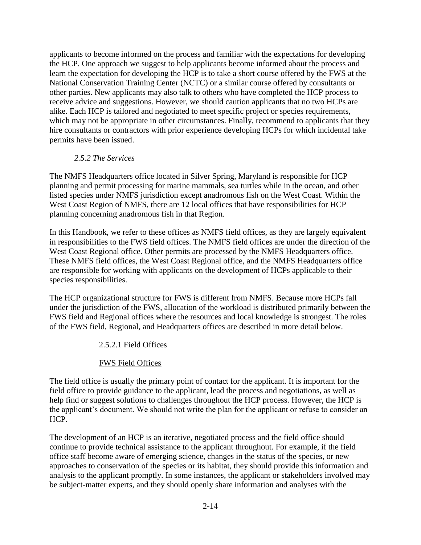applicants to become informed on the process and familiar with the expectations for developing the HCP. One approach we suggest to help applicants become informed about the process and learn the expectation for developing the HCP is to take a short course offered by the FWS at the National Conservation Training Center (NCTC) or a similar course offered by consultants or other parties. New applicants may also talk to others who have completed the HCP process to receive advice and suggestions. However, we should caution applicants that no two HCPs are alike. Each HCP is tailored and negotiated to meet specific project or species requirements, which may not be appropriate in other circumstances. Finally, recommend to applicants that they hire consultants or contractors with prior experience developing HCPs for which incidental take permits have been issued.

### *2.5.2 The Services*

The NMFS Headquarters office located in Silver Spring, Maryland is responsible for HCP planning and permit processing for marine mammals, sea turtles while in the ocean, and other listed species under NMFS jurisdiction except anadromous fish on the West Coast. Within the West Coast Region of NMFS, there are 12 local offices that have responsibilities for HCP planning concerning anadromous fish in that Region.

In this Handbook, we refer to these offices as NMFS field offices, as they are largely equivalent in responsibilities to the FWS field offices. The NMFS field offices are under the direction of the West Coast Regional office. Other permits are processed by the NMFS Headquarters office. These NMFS field offices, the West Coast Regional office, and the NMFS Headquarters office are responsible for working with applicants on the development of HCPs applicable to their species responsibilities.

The HCP organizational structure for FWS is different from NMFS. Because more HCPs fall under the jurisdiction of the FWS, allocation of the workload is distributed primarily between the FWS field and Regional offices where the resources and local knowledge is strongest. The roles of the FWS field, Regional, and Headquarters offices are described in more detail below.

2.5.2.1 Field Offices

## FWS Field Offices

The field office is usually the primary point of contact for the applicant. It is important for the field office to provide guidance to the applicant, lead the process and negotiations, as well as help find or suggest solutions to challenges throughout the HCP process. However, the HCP is the applicant's document. We should not write the plan for the applicant or refuse to consider an HCP.

The development of an HCP is an iterative, negotiated process and the field office should continue to provide technical assistance to the applicant throughout. For example, if the field office staff become aware of emerging science, changes in the status of the species, or new approaches to conservation of the species or its habitat, they should provide this information and analysis to the applicant promptly. In some instances, the applicant or stakeholders involved may be subject-matter experts, and they should openly share information and analyses with the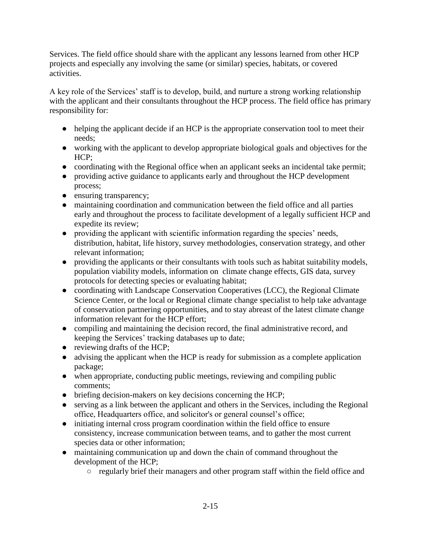Services. The field office should share with the applicant any lessons learned from other HCP projects and especially any involving the same (or similar) species, habitats, or covered activities.

A key role of the Services' staff is to develop, build, and nurture a strong working relationship with the applicant and their consultants throughout the HCP process. The field office has primary responsibility for:

- helping the applicant decide if an HCP is the appropriate conservation tool to meet their needs;
- working with the applicant to develop appropriate biological goals and objectives for the HCP;
- coordinating with the Regional office when an applicant seeks an incidental take permit;
- providing active guidance to applicants early and throughout the HCP development process;
- ensuring transparency;
- maintaining coordination and communication between the field office and all parties early and throughout the process to facilitate development of a legally sufficient HCP and expedite its review;
- providing the applicant with scientific information regarding the species' needs, distribution, habitat, life history, survey methodologies, conservation strategy, and other relevant information;
- providing the applicants or their consultants with tools such as habitat suitability models, population viability models, information on climate change effects, GIS data, survey protocols for detecting species or evaluating habitat;
- coordinating with Landscape Conservation Cooperatives (LCC), the Regional Climate Science Center, or the local or Regional climate change specialist to help take advantage of conservation partnering opportunities, and to stay abreast of the latest climate change information relevant for the HCP effort;
- compiling and maintaining the decision record, the final administrative record, and keeping the Services' tracking databases up to date;
- reviewing drafts of the HCP;
- advising the applicant when the HCP is ready for submission as a complete application package;
- when appropriate, conducting public meetings, reviewing and compiling public comments;
- briefing decision-makers on key decisions concerning the HCP;
- serving as a link between the applicant and others in the Services, including the Regional office, Headquarters office, and solicitor's or general counsel's office;
- initiating internal cross program coordination within the field office to ensure consistency, increase communication between teams, and to gather the most current species data or other information;
- maintaining communication up and down the chain of command throughout the development of the HCP;
	- regularly brief their managers and other program staff within the field office and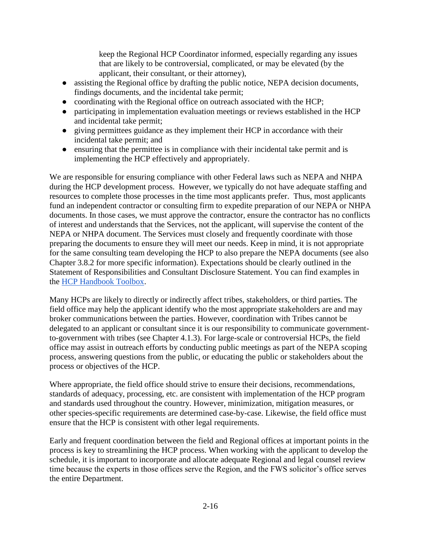keep the Regional HCP Coordinator informed, especially regarding any issues that are likely to be controversial, complicated, or may be elevated (by the applicant, their consultant, or their attorney),

- assisting the Regional office by drafting the public notice, NEPA decision documents, findings documents, and the incidental take permit;
- coordinating with the Regional office on outreach associated with the HCP;
- participating in implementation evaluation meetings or reviews established in the HCP and incidental take permit;
- giving permittees guidance as they implement their HCP in accordance with their incidental take permit; and
- ensuring that the permittee is in compliance with their incidental take permit and is implementing the HCP effectively and appropriately.

We are responsible for ensuring compliance with other Federal laws such as NEPA and NHPA during the HCP development process. However, we typically do not have adequate staffing and resources to complete those processes in the time most applicants prefer. Thus, most applicants fund an independent contractor or consulting firm to expedite preparation of our NEPA or NHPA documents. In those cases, we must approve the contractor, ensure the contractor has no conflicts of interest and understands that the Services, not the applicant, will supervise the content of the NEPA or NHPA document. The Services must closely and frequently coordinate with those preparing the documents to ensure they will meet our needs. Keep in mind, it is not appropriate for the same consulting team developing the HCP to also prepare the NEPA documents (see also Chapter 3.8.2 for more specific information). Expectations should be clearly outlined in the Statement of Responsibilities and Consultant Disclosure Statement. You can find examples in the [HCP Handbook Toolbox.](https://www.fws.gov/endangered/what-we-do/hcp-handbook-toolbox.html#Ch2)

Many HCPs are likely to directly or indirectly affect tribes, stakeholders, or third parties. The field office may help the applicant identify who the most appropriate stakeholders are and may broker communications between the parties. However, coordination with Tribes cannot be delegated to an applicant or consultant since it is our responsibility to communicate governmentto-government with tribes (see Chapter 4.1.3). For large-scale or controversial HCPs, the field office may assist in outreach efforts by conducting public meetings as part of the NEPA scoping process, answering questions from the public, or educating the public or stakeholders about the process or objectives of the HCP.

Where appropriate, the field office should strive to ensure their decisions, recommendations, standards of adequacy, processing, etc. are consistent with implementation of the HCP program and standards used throughout the country. However, minimization, mitigation measures, or other species-specific requirements are determined case-by-case. Likewise, the field office must ensure that the HCP is consistent with other legal requirements.

Early and frequent coordination between the field and Regional offices at important points in the process is key to streamlining the HCP process. When working with the applicant to develop the schedule, it is important to incorporate and allocate adequate Regional and legal counsel review time because the experts in those offices serve the Region, and the FWS solicitor's office serves the entire Department.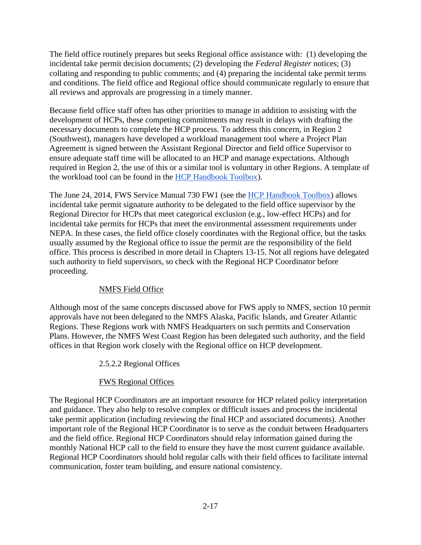The field office routinely prepares but seeks Regional office assistance with: (1) developing the incidental take permit decision documents; (2) developing the *Federal Register* notices; (3) collating and responding to public comments; and (4) preparing the incidental take permit terms and conditions. The field office and Regional office should communicate regularly to ensure that all reviews and approvals are progressing in a timely manner.

Because field office staff often has other priorities to manage in addition to assisting with the development of HCPs, these competing commitments may result in delays with drafting the necessary documents to complete the HCP process. To address this concern, in Region 2 (Southwest), managers have developed a workload management tool where a Project Plan Agreement is signed between the Assistant Regional Director and field office Supervisor to ensure adequate staff time will be allocated to an HCP and manage expectations. Although required in Region 2, the use of this or a similar tool is voluntary in other Regions. A template of the workload tool can be found in the [HCP Handbook Toolbox\)](https://www.fws.gov/endangered/what-we-do/hcp-handbook-toolbox.html#Ch2).

The June 24, 2014, FWS Service Manual 730 FW1 (see the [HCP Handbook Toolbox\)](https://www.fws.gov/endangered/what-we-do/hcp-handbook-toolbox.html#Ch2) allows incidental take permit signature authority to be delegated to the field office supervisor by the Regional Director for HCPs that meet categorical exclusion (e.g., low-effect HCPs) and for incidental take permits for HCPs that meet the environmental assessment requirements under NEPA. In these cases, the field office closely coordinates with the Regional office, but the tasks usually assumed by the Regional office to issue the permit are the responsibility of the field office. This process is described in more detail in Chapters 13-15. Not all regions have delegated such authority to field supervisors, so check with the Regional HCP Coordinator before proceeding.

## NMFS Field Office

Although most of the same concepts discussed above for FWS apply to NMFS, section 10 permit approvals have not been delegated to the NMFS Alaska, Pacific Islands, and Greater Atlantic Regions. These Regions work with NMFS Headquarters on such permits and Conservation Plans. However, the NMFS West Coast Region has been delegated such authority, and the field offices in that Region work closely with the Regional office on HCP development.

## 2.5.2.2 Regional Offices

# FWS Regional Offices

The Regional HCP Coordinators are an important resource for HCP related policy interpretation and guidance. They also help to resolve complex or difficult issues and process the incidental take permit application (including reviewing the final HCP and associated documents). Another important role of the Regional HCP Coordinator is to serve as the conduit between Headquarters and the field office. Regional HCP Coordinators should relay information gained during the monthly National HCP call to the field to ensure they have the most current guidance available. Regional HCP Coordinators should hold regular calls with their field offices to facilitate internal communication, foster team building, and ensure national consistency.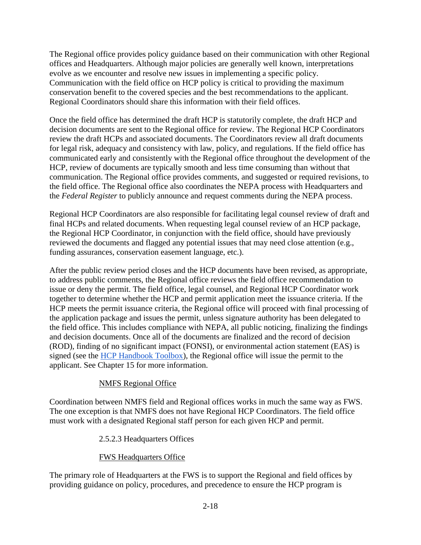The Regional office provides policy guidance based on their communication with other Regional offices and Headquarters. Although major policies are generally well known, interpretations evolve as we encounter and resolve new issues in implementing a specific policy. Communication with the field office on HCP policy is critical to providing the maximum conservation benefit to the covered species and the best recommendations to the applicant. Regional Coordinators should share this information with their field offices.

Once the field office has determined the draft HCP is statutorily complete, the draft HCP and decision documents are sent to the Regional office for review. The Regional HCP Coordinators review the draft HCPs and associated documents. The Coordinators review all draft documents for legal risk, adequacy and consistency with law, policy, and regulations. If the field office has communicated early and consistently with the Regional office throughout the development of the HCP, review of documents are typically smooth and less time consuming than without that communication. The Regional office provides comments, and suggested or required revisions, to the field office. The Regional office also coordinates the NEPA process with Headquarters and the *Federal Register* to publicly announce and request comments during the NEPA process.

Regional HCP Coordinators are also responsible for facilitating legal counsel review of draft and final HCPs and related documents. When requesting legal counsel review of an HCP package, the Regional HCP Coordinator, in conjunction with the field office, should have previously reviewed the documents and flagged any potential issues that may need close attention (e.g., funding assurances, conservation easement language, etc.).

After the public review period closes and the HCP documents have been revised, as appropriate, to address public comments, the Regional office reviews the field office recommendation to issue or deny the permit. The field office, legal counsel, and Regional HCP Coordinator work together to determine whether the HCP and permit application meet the issuance criteria. If the HCP meets the permit issuance criteria, the Regional office will proceed with final processing of the application package and issues the permit, unless signature authority has been delegated to the field office. This includes compliance with NEPA, all public noticing, finalizing the findings and decision documents. Once all of the documents are finalized and the record of decision (ROD), finding of no significant impact (FONSI), or environmental action statement (EAS) is signed (see the [HCP Handbook Toolbox\)](https://www.fws.gov/endangered/what-we-do/hcp-handbook-toolbox.html#Ch2), the Regional office will issue the permit to the applicant. See Chapter 15 for more information.

### NMFS Regional Office

Coordination between NMFS field and Regional offices works in much the same way as FWS. The one exception is that NMFS does not have Regional HCP Coordinators. The field office must work with a designated Regional staff person for each given HCP and permit.

### 2.5.2.3 Headquarters Offices

### FWS Headquarters Office

The primary role of Headquarters at the FWS is to support the Regional and field offices by providing guidance on policy, procedures, and precedence to ensure the HCP program is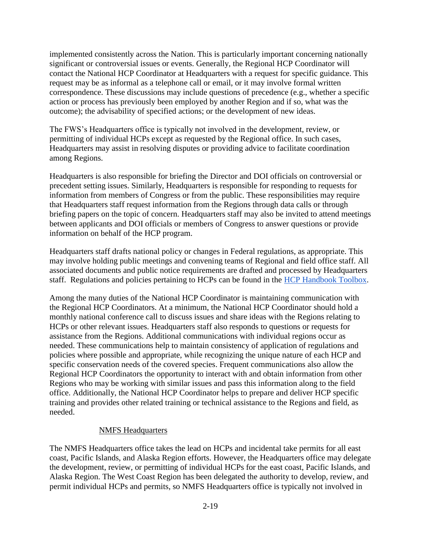implemented consistently across the Nation. This is particularly important concerning nationally significant or controversial issues or events. Generally, the Regional HCP Coordinator will contact the National HCP Coordinator at Headquarters with a request for specific guidance. This request may be as informal as a telephone call or email, or it may involve formal written correspondence. These discussions may include questions of precedence (e.g., whether a specific action or process has previously been employed by another Region and if so, what was the outcome); the advisability of specified actions; or the development of new ideas.

The FWS's Headquarters office is typically not involved in the development, review, or permitting of individual HCPs except as requested by the Regional office. In such cases, Headquarters may assist in resolving disputes or providing advice to facilitate coordination among Regions.

Headquarters is also responsible for briefing the Director and DOI officials on controversial or precedent setting issues. Similarly, Headquarters is responsible for responding to requests for information from members of Congress or from the public. These responsibilities may require that Headquarters staff request information from the Regions through data calls or through briefing papers on the topic of concern. Headquarters staff may also be invited to attend meetings between applicants and DOI officials or members of Congress to answer questions or provide information on behalf of the HCP program.

Headquarters staff drafts national policy or changes in Federal regulations, as appropriate. This may involve holding public meetings and convening teams of Regional and field office staff. All associated documents and public notice requirements are drafted and processed by Headquarters staff. Regulations and policies pertaining to HCPs can be found in the [HCP Handbook Toolbox.](https://www.fws.gov/endangered/what-we-do/hcp-handbook-toolbox.html#Ch2)

Among the many duties of the National HCP Coordinator is maintaining communication with the Regional HCP Coordinators. At a minimum, the National HCP Coordinator should hold a monthly national conference call to discuss issues and share ideas with the Regions relating to HCPs or other relevant issues. Headquarters staff also responds to questions or requests for assistance from the Regions. Additional communications with individual regions occur as needed. These communications help to maintain consistency of application of regulations and policies where possible and appropriate, while recognizing the unique nature of each HCP and specific conservation needs of the covered species. Frequent communications also allow the Regional HCP Coordinators the opportunity to interact with and obtain information from other Regions who may be working with similar issues and pass this information along to the field office. Additionally, the National HCP Coordinator helps to prepare and deliver HCP specific training and provides other related training or technical assistance to the Regions and field, as needed.

### NMFS Headquarters

The NMFS Headquarters office takes the lead on HCPs and incidental take permits for all east coast, Pacific Islands, and Alaska Region efforts. However, the Headquarters office may delegate the development, review, or permitting of individual HCPs for the east coast, Pacific Islands, and Alaska Region. The West Coast Region has been delegated the authority to develop, review, and permit individual HCPs and permits, so NMFS Headquarters office is typically not involved in